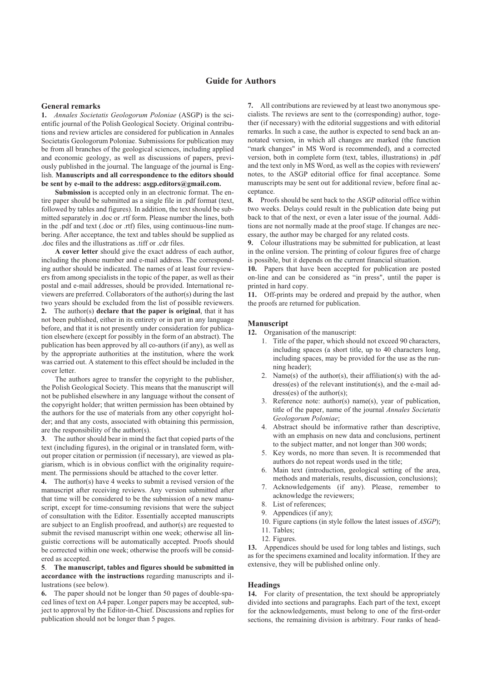## **General remarks**

**1.** *Annales Societatis Geologorum Poloniae* (ASGP) is the scientific journal of the Polish Geological Society. Original contributions and review articles are considered for publication in Annales Societatis Geologorum Poloniae. Submissions for publication may be from all branches of the geological sciences, including applied and economic geology, as well as discussions of papers, previously published in the journal. The language of the journal is English. **Manuscripts and all correspondence to the editors should be sent by e-mail to the address: asgp.editors@gmail.com.**

**Submission** is accepted only in an electronic format. The entire paper should be submitted as a single file in .pdf format (text, followed by tables and figures). In addition, the text should be submitted separately in .doc or .rtf form. Please number the lines, both in the .pdf and text (.doc or .rtf) files, using continuous-line numbering. After acceptance, the text and tables should be supplied as .doc files and the illustrations as .tiff or .cdr files.

**A cover letter** should give the exact address of each author, including the phone number and e-mail address. The corresponding author should be indicated. The names of at least four reviewers from among specialists in the topic of the paper, as well as their postal and e-mail addresses, should be provided. International reviewers are preferred. Collaborators of the author(s) during the last two years should be excluded from the list of possible reviewers. **2.** The author(s) **declare that the paper is original**, that it has not been published, either in its entirety or in part in any language before, and that it is not presently under consideration for publication elsewhere (except for possibly in the form of an abstract). The publication has been approved by all co-authors (if any), as well as by the appropriate authorities at the institution, where the work was carried out. A statement to this effect should be included in the cover letter.

The authors agree to transfer the copyright to the publisher, the Polish Geological Society. This means that the manuscript will not be published elsewhere in any language without the consent of the copyright holder; that written permission has been obtained by the authors for the use of materials from any other copyright holder; and that any costs, associated with obtaining this permission, are the responsibility of the author(s).

**3**. The author should bear in mind the fact that copied parts of the text (including figures), in the original or in translated form, without proper citation or permission (if necessary), are viewed as plagiarism, which is in obvious conflict with the originality requirement. The permissions should be attached to the cover letter.

**4.** The author(s) have 4 weeks to submit a revised version of the manuscript after receiving reviews. Any version submitted after that time will be considered to be the submission of a new manuscript, except for time-consuming revisions that were the subject of consultation with the Editor. Essentially accepted manuscripts are subject to an English proofread, and author(s) are requested to submit the revised manuscript within one week; otherwise all linguistic corrections will be automatically accepted. Proofs should be corrected within one week; otherwise the proofs will be considered as accepted.

# **5**. **The manuscript, tables and figures should be submitted in accordance with the instructions** regarding manuscripts and illustrations (see below).

**6.** The paper should not be longer than 50 pages of double-spaced lines of text on A4 paper. Longer papers may be accepted, subject to approval by the Editor-in-Chief. Discussions and replies for publication should not be longer than 5 pages.

**7.** All contributions are reviewed by at least two anonymous specialists. The reviews are sent to the (corresponding) author, together (if necessary) with the editorial suggestions and with editorial remarks. In such a case, the author is expected to send back an annotated version, in which all changes are marked (the function "mark changes" in MS Word is recommended), and a corrected version, both in complete form (text, tables, illustrations) in .pdf and the text only in MS Word, as well as the copies with reviewers' notes, to the ASGP editorial office for final acceptance. Some manuscripts may be sent out for additional review, before final acceptance.

**8.** Proofs should be sent back to the ASGP editorial office within two weeks. Delays could result in the publication date being put back to that of the next, or even a later issue of the journal. Additions are not normally made at the proof stage. If changes are necessary, the author may be charged for any related costs.

**9.** Colour illustrations may be submitted for publication, at least in the online version. The printing of colour figures free of charge is possible, but it depends on the current financial situation.

**10.** Papers that have been accepted for publication are posted on-line and can be considered as "in press", until the paper is printed in hard copy.

**11.** Off-prints may be ordered and prepaid by the author, when the proofs are returned for publication.

# **Manuscript**

**12.** Organisation of the manuscript:

- 1. Title of the paper, which should not exceed 90 characters, including spaces (a short title, up to 40 characters long, including spaces, may be provided for the use as the running header);
- 2. Name(s) of the author(s), their affiliation(s) with the address(es) of the relevant institution(s), and the e-mail address(es) of the author(s);
- 3. Reference note: author(s) name(s), year of publication, title of the paper, name of the journal *Annales Societatis Geologorum Poloniae*;
- 4. Abstract should be informative rather than descriptive, with an emphasis on new data and conclusions, pertinent to the subject matter, and not longer than 300 words;
- 5. Key words, no more than seven. It is recommended that authors do not repeat words used in the title;
- 6. Main text (introduction, geological setting of the area, methods and materials, results, discussion, conclusions);
- 7. Acknowledgements (if any). Please, remember to acknowledge the reviewers;
- 8. List of references;
- 9. Appendices (if any);
- 10. Figure captions (in style follow the latest issues of *ASGP*);
- 11. Tables;
- 12. Figures.

**13.** Appendices should be used for long tables and listings, such as for the specimens examined and locality information. If they are extensive, they will be published online only.

### **Headings**

**14.** For clarity of presentation, the text should be appropriately divided into sections and paragraphs. Each part of the text, except for the acknowledgements, must belong to one of the first-order sections, the remaining division is arbitrary. Four ranks of head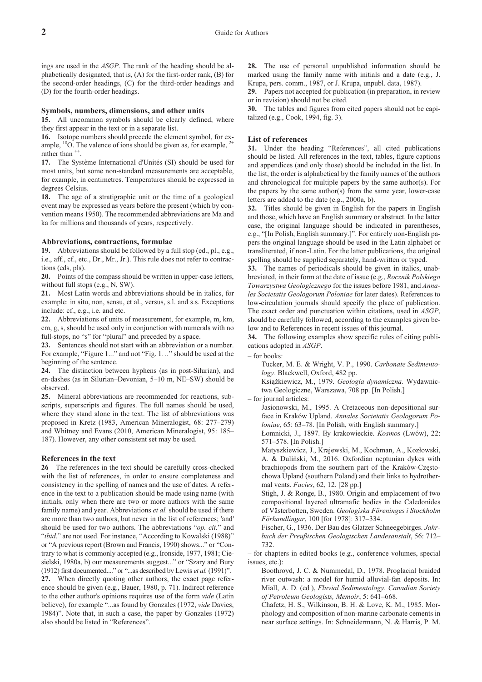ings are used in the *ASGP*. The rank of the heading should be alphabetically designated, that is, (A) for the first-order rank, (B) for the second-order headings, (C) for the third-order headings and (D) for the fourth-order headings.

### **Symbols, numbers, dimensions, and other units**

**15.** All uncommon symbols should be clearly defined, where they first appear in the text or in a separate list.

**16.** Isotope numbers should precede the element symbol, for example,  $^{18}$ O. The valence of ions should be given as, for example,  $^{2+}$ rather than  $+$ 

17. The Système International d'Unités (SI) should be used for most units, but some non-standard measurements are acceptable, for example, in centimetres. Temperatures should be expressed in degrees Celsius.

**18.** The age of a stratigraphic unit or the time of a geological event may be expressed as years before the present (which by convention means 1950). The recommended abbreviations are Ma and ka for millions and thousands of years, respectively.

#### **Abbreviations, contractions, formulae**

**19.** Abbreviations should be followed by a full stop (ed., pl., e.g., i.e., aff., cf., etc., Dr., Mr., Jr.). This rule does not refer to contractions (eds, pls).

**20.** Points of the compass should be written in upper-case letters, without full stops (e.g., N, SW).

**21.** Most Latin words and abbreviations should be in italics, for example: in situ, non, sensu, et al., versus, s.l. and s.s. Exceptions include: cf., e.g., i.e. and etc.

**22.** Abbreviations of units of measurement, for example, m, km, cm, g, s, should be used only in conjunction with numerals with no full-stops, no "s" for "plural" and preceded by a space.

**23.** Sentences should not start with an abbreviation or a number. For example, "Figure 1..." and not "Fig. 1…" should be used at the beginning of the sentence.

**24.** The distinction between hyphens (as in post-Silurian), and en-dashes (as in Silurian–Devonian, 5–10 m, NE–SW) should be observed.

**25.** Mineral abbreviations are recommended for reactions, subscripts, superscripts and figures. The full names should be used, where they stand alone in the text. The list of abbreviations was proposed in Kretz (1983, American Mineralogist, 68: 277–279) and Whitney and Evans (2010, American Mineralogist, 95: 185– 187). However, any other consistent set may be used.

#### **References in the text**

**26** The references in the text should be carefully cross-checked with the list of references, in order to ensure completeness and consistency in the spelling of names and the use of dates. A reference in the text to a publication should be made using name (with initials, only when there are two or more authors with the same family name) and year. Abbreviations *et al.* should be used if there are more than two authors, but never in the list of references; 'and' should be used for two authors. The abbreviations "*op. cit.*" and "*ibid*." are not used. For instance, "According to Kowalski (1988)" or "A previous report (Brown and Francis, 1990) shows..." or "Contrary to what is commonly accepted (e.g., Ironside, 1977, 1981; Ciesielski, 1980a, b) our measurements suggest..." or "Szary and Bury (1912) first documented...." or "...as described by Lewis *et al.* (1991)". **27.** When directly quoting other authors, the exact page reference should be given (e.g., Bauer, 1980, p. 71). Indirect reference to the other author's opinions requires use of the form *vide* (Latin believe), for example "...as found by Gonzales (1972, *vide* Davies, 1984)". Note that, in such a case, the paper by Gonzales (1972) also should be listed in "References".

**28.** The use of personal unpublished information should be marked using the family name with initials and a date (e.g., J. Krupa, pers. comm., 1987, or J. Krupa, unpubl. data, 1987).

**29.** Papers not accepted for publication (in preparation, in review or in revision) should not be cited.

**30.** The tables and figures from cited papers should not be capitalized (e.g., Cook, 1994, fig. 3).

### **List of references**

**31.** Under the heading "References", all cited publications should be listed. All references in the text, tables, figure captions and appendices (and only those) should be included in the list. In the list, the order is alphabetical by the family names of the authors and chronological for multiple papers by the same author(s). For the papers by the same author(s) from the same year, lower-case letters are added to the date (e.g., 2000a, b).

**32.** Titles should be given in English for the papers in English and those, which have an English summary or abstract. In the latter case, the original language should be indicated in parentheses, e.g., "[In Polish, English summary.]". For entirely non-English papers the original language should be used in the Latin alphabet or transliterated, if non-Latin. For the latter publications, the original spelling should be supplied separately, hand-written or typed.

**33.** The names of periodicals should be given in italics, unabbreviated, in their form at the date of issue (e.g., *Rocznik Polskiego Towarzystwa Geologicznego* for the issues before 1981, and *Annales Societatis Geologorum Poloniae* for later dates). References to low-circulation journals should specify the place of publication. The exact order and punctuation within citations, used in *ASGP*, should be carefully followed, according to the examples given below and to References in recent issues of this journal.

**34.** The following examples show specific rules of citing publications adopted in *ASGP*.

– for books:

Tucker, M. E. & Wright, V. P., 1990. *Carbonate Sedimentology*. Blackwell, Oxford, 482 pp.

Książkiewicz, M., 1979. *Geologia dynamiczna*. Wydawnictwa Geologiczne, Warszawa, 708 pp. [In Polish.]

– for journal articles:

Jasionowski, M., 1995. A Cretaceous non-depositional surface in Kraków Upland. *Annales Societatis Geologorum Poloniae*, 65: 63–78. [In Polish, with English summary.] £omnicki, J., 1897. I³y krakowieckie. *Kosmos* (Lwów), 22:

571–578. [In Polish.]

Matyszkiewicz, J., Krajewski, M., Kochman, A., Kozłowski, A. & Duliñski, M., 2016. Oxfordian neptunian dykes with brachiopods from the southern part of the Kraków-Częstochowa Upland (southern Poland) and their links to hydrothermal vents. *Facies*, 62, 12. [28 pp.]

Stigh, J. & Ronge, B., 1980. Origin and emplacement of two compositional layered ultramafic bodies in the Caledonides of Västerbotten, Sweden. *Geologiska Föreninges i Stockholm Förhandlingar*, 100 [for 1978]: 317–334.

Fischer, G., 1936. Der Bau des Glatzer Schneegebirges. *Jahrbuch der Preußischen Geologischen Landesanstalt*, 56: 712– 732.

– for chapters in edited books (e.g., conference volumes, special issues, etc.):

Boothroyd, J. C. & Nummedal, D., 1978. Proglacial braided river outwash: a model for humid alluvial-fan deposits. In: Miall, A. D. (ed*.*), *Fluvial Sedimentology. Canadian Society of Petroleum Geologists, Memoir*, 5: 641–668.

Chafetz, H. S., Wilkinson, B. H. & Love, K. M., 1985. Morphology and composition of non-marine carbonate cements in near surface settings. In: Schneidermann, N. & Harris, P. M.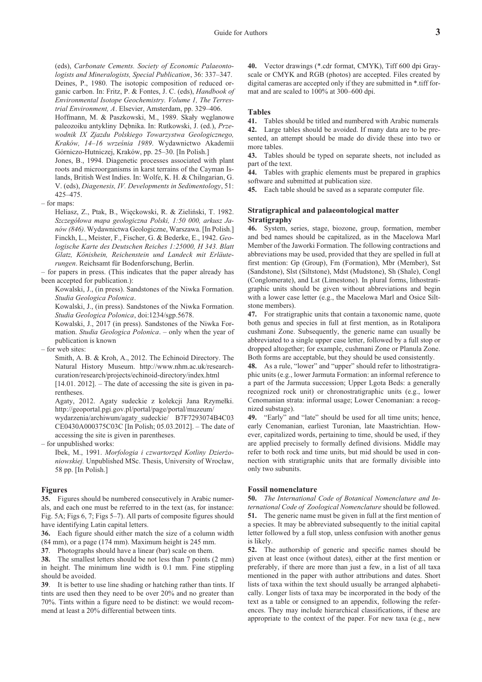(eds), *Carbonate Cements. Society of Economic Palaeontologists and Mineralogists, Special Publication*, 36: 337–347. Deines, P., 1980. The isotopic composition of reduced organic carbon. In: Fritz, P. & Fontes, J. C. (eds), *Handbook of Environmental Isotope Geochemistry. Volume 1, The Terrestrial Environment, A*. Elsevier, Amsterdam, pp. 329–406.

Hoffmann, M. & Paszkowski, M., 1989. Skały węglanowe paleozoiku antykliny Dêbnika. In: Rutkowski, J. (ed.), *Przewodnik IX Zjazdu Polskiego Towarzystwa Geologicznego,* Kraków, 14–16 września 1989. Wydawnictwo Akademii Górniczo-Hutniczej, Kraków, pp. 25–30. [In Polish.]

Jones, B., 1994. Diagenetic processes associated with plant roots and microorganisms in karst terrains of the Cayman Islands, British West Indies. In: Wolfe, K. H. & Chilngarian, G. V. (eds), *Diagenesis, IV. Developments in Sedimentology*, 51: 425–475.

– for maps:

Heliasz, Z., Ptak, B., Więckowski, R. & Zieliński, T. 1982. Szczegółowa mapa geologiczna Polski, 1:50 000, arkusz Ja*nów (846)*. Wydawnictwa Geologiczne, Warszawa. [In Polish.] Finckh, L., Meister, F., Fischer, G. & Bederke, E., 1942. *Geologische Karte des Deutschen Reiches 1:25000, H 343. Blatt Glatz, Könishein, Reichenstein und Landeck mit Erläuterungen*. Reichsamt für Bodenforschung, Berlin.

– for papers in press. (This indicates that the paper already has been accepted for publication.):

Kowalski, J., (in press). Sandstones of the Niwka Formation. *Studia Geologica Polonica*.

Kowalski, J., (in press). Sandstones of the Niwka Formation. *Studia Geologica Polonica*, doi:1234/sgp.5678.

Kowalski, J., 2017 (in press). Sandstones of the Niwka Formation. *Studia Geologica Polonica*. – only when the year of publication is known

– for web sites:

Smith, A. B. & Kroh, A., 2012. The Echinoid Directory. The Natural History Museum. http://www.nhm.ac.uk/researchcuration/research/projects/echinoid-directory/index.html

 $[14.01, 2012]$ . – The date of accessing the site is given in parentheses.

Agaty, 2012. Agaty sudeckie z kolekcji Jana Rzymełki. http://geoportal.pgi.gov.pl/portal/page/portal/muzeum/

wydarzenia/archiwum/agaty\_sudeckie/ B7F7293074B4C03 CE0430A000375C03C [In Polish; 05.03.2012]. – The date of accessing the site is given in parentheses.

– for unpublished works:

Ibek, M., 1991. *Morfologia i czwartorzęd Kotliny Dzierżoniowskiej.* Unpublished MSc. Thesis, University of Wroc³aw, 58 pp. [In Polish.]

## **Figures**

**35.** Figures should be numbered consecutively in Arabic numerals, and each one must be referred to in the text (as, for instance: Fig. 5A; Figs 6, 7; Figs 5–7). All parts of composite figures should have identifying Latin capital letters.

**36.** Each figure should either match the size of a column width (84 mm), or a page (174 mm). Maximum height is 245 mm.

**37**. Photographs should have a linear (bar) scale on them.

**38.** The smallest letters should be not less than 7 points (2 mm) in height. The minimum line width is 0.1 mm. Fine stippling should be avoided.

**39**. It is better to use line shading or hatching rather than tints. If tints are used then they need to be over 20% and no greater than 70%. Tints within a figure need to be distinct: we would recommend at least a 20% differential between tints.

**40.** Vector drawings (\*.cdr format, CMYK), Tiff 600 dpi Grayscale or CMYK and RGB (photos) are accepted. Files created by digital cameras are accepted only if they are submitted in \*.tiff format and are scaled to 100% at 300–600 dpi.

# **Tables**

**41.** Tables should be titled and numbered with Arabic numerals **42.** Large tables should be avoided. If many data are to be presented, an attempt should be made do divide these into two or more tables.

**43.** Tables should be typed on separate sheets, not included as part of the text.

**44.** Tables with graphic elements must be prepared in graphics software and submitted at publication size.

**45.** Each table should be saved as a separate computer file.

## **Stratigraphical and palaeontological matter Stratigraphy**

**46.** System, series, stage, biozone, group, formation, member and bed names should be capitalized, as in the Macelowa Marl Member of the Jaworki Formation. The following contractions and abbreviations may be used, provided that they are spelled in full at first mention: Gp (Group), Fm (Formation), Mbr (Member), Sst (Sandstone), Slst (Siltstone), Mdst (Mudstone), Sh (Shale), Congl (Conglomerate), and Lst (Limestone). In plural forms, lithostratigraphic units should be given without abbreviations and begin with a lower case letter (e.g., the Macelowa Marl and Osice Siltstone members).

**47.** For stratigraphic units that contain a taxonomic name, quote both genus and species in full at first mention, as in Rotalipora cushmani Zone. Subsequently, the generic name can usually be abbreviated to a single upper case letter, followed by a full stop or dropped altogether; for example, cushmani Zone or Planula Zone. Both forms are acceptable, but they should be used consistently.

**48.** As a rule, "lower" and "upper" should refer to lithostratigraphic units (e.g., lower Jarmuta Formation: an informal reference to a part of the Jarmuta succession; Upper Lgota Beds: a generally recognized rock unit) or chronostratigraphic units (e.g., lower Cenomanian strata: informal usage; Lower Cenomanian: a recognized substage).

**49.** "Early" and "late" should be used for all time units; hence, early Cenomanian, earliest Turonian, late Maastrichtian. However, capitalized words, pertaining to time, should be used, if they are applied precisely to formally defined divisions. Middle may refer to both rock and time units, but mid should be used in connection with stratigraphic units that are formally divisible into only two subunits.

#### **Fossil nomenclature**

**50.** *The International Code of Botanical Nomenclature and International Code of Zoological Nomenclature* should be followed. **51.** The generic name must be given in full at the first mention of a species. It may be abbreviated subsequently to the initial capital letter followed by a full stop, unless confusion with another genus is likely.

**52.** The authorship of generic and specific names should be given at least once (without dates), either at the first mention or preferably, if there are more than just a few, in a list of all taxa mentioned in the paper with author attributions and dates. Short lists of taxa within the text should usually be arranged alphabetically. Longer lists of taxa may be incorporated in the body of the text as a table or consigned to an appendix, following the references. They may include hierarchical classifications, if these are appropriate to the context of the paper. For new taxa (e.g., new